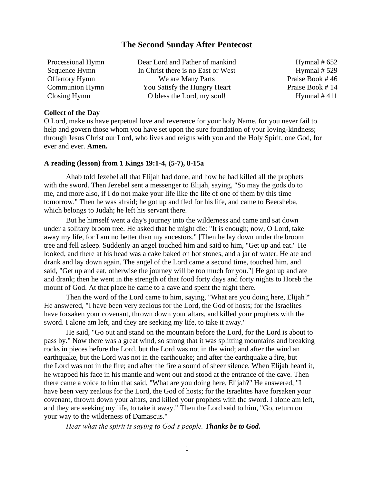# **The Second Sunday After Pentecost**

Processional Hymn Dear Lord and Father of mankind Hymnal # 652 Sequence Hymn In Christ there is no East or West Hymnal # 529 Offertory Hymn We are Many Parts Praise Book # 46 Communion Hymn You Satisfy the Hungry Heart Praise Book # 14 Closing Hymn O bless the Lord, my soul! Hymnal # 411

### **Collect of the Day**

O Lord, make us have perpetual love and reverence for your holy Name, for you never fail to help and govern those whom you have set upon the sure foundation of your loving-kindness; through Jesus Christ our Lord, who lives and reigns with you and the Holy Spirit, one God, for ever and ever. **Amen.**

#### **A reading (lesson) from 1 Kings 19:1-4, (5-7), 8-15a**

Ahab told Jezebel all that Elijah had done, and how he had killed all the prophets with the sword. Then Jezebel sent a messenger to Elijah, saying, "So may the gods do to me, and more also, if I do not make your life like the life of one of them by this time tomorrow." Then he was afraid; he got up and fled for his life, and came to Beersheba, which belongs to Judah; he left his servant there.

But he himself went a day's journey into the wilderness and came and sat down under a solitary broom tree. He asked that he might die: "It is enough; now, O Lord, take away my life, for I am no better than my ancestors." [Then he lay down under the broom tree and fell asleep. Suddenly an angel touched him and said to him, "Get up and eat." He looked, and there at his head was a cake baked on hot stones, and a jar of water. He ate and drank and lay down again. The angel of the Lord came a second time, touched him, and said, "Get up and eat, otherwise the journey will be too much for you."] He got up and ate and drank; then he went in the strength of that food forty days and forty nights to Horeb the mount of God. At that place he came to a cave and spent the night there.

Then the word of the Lord came to him, saying, "What are you doing here, Elijah?" He answered, "I have been very zealous for the Lord, the God of hosts; for the Israelites have forsaken your covenant, thrown down your altars, and killed your prophets with the sword. I alone am left, and they are seeking my life, to take it away."

He said, "Go out and stand on the mountain before the Lord, for the Lord is about to pass by." Now there was a great wind, so strong that it was splitting mountains and breaking rocks in pieces before the Lord, but the Lord was not in the wind; and after the wind an earthquake, but the Lord was not in the earthquake; and after the earthquake a fire, but the Lord was not in the fire; and after the fire a sound of sheer silence. When Elijah heard it, he wrapped his face in his mantle and went out and stood at the entrance of the cave. Then there came a voice to him that said, "What are you doing here, Elijah?" He answered, "I have been very zealous for the Lord, the God of hosts; for the Israelites have forsaken your covenant, thrown down your altars, and killed your prophets with the sword. I alone am left, and they are seeking my life, to take it away." Then the Lord said to him, "Go, return on your way to the wilderness of Damascus."

*Hear what the spirit is saying to God's people. Thanks be to God.*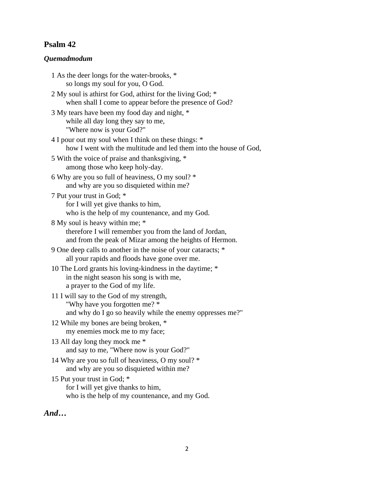# **Psalm 42**

# *Quemadmodum*

| 1 As the deer longs for the water-brooks, *<br>so longs my soul for you, O God.                                                                      |
|------------------------------------------------------------------------------------------------------------------------------------------------------|
| 2 My soul is athirst for God, athirst for the living God; *<br>when shall I come to appear before the presence of God?                               |
| 3 My tears have been my food day and night, *<br>while all day long they say to me,<br>"Where now is your God?"                                      |
| 4 I pour out my soul when I think on these things: *<br>how I went with the multitude and led them into the house of God,                            |
| 5 With the voice of praise and thanksgiving, *<br>among those who keep holy-day.                                                                     |
| 6 Why are you so full of heaviness, O my soul? *<br>and why are you so disquieted within me?                                                         |
| 7 Put your trust in God; *<br>for I will yet give thanks to him,<br>who is the help of my countenance, and my God.                                   |
| 8 My soul is heavy within me; *<br>therefore I will remember you from the land of Jordan,<br>and from the peak of Mizar among the heights of Hermon. |
| 9 One deep calls to another in the noise of your cataracts; *<br>all your rapids and floods have gone over me.                                       |
| 10 The Lord grants his loving-kindness in the daytime; *<br>in the night season his song is with me,<br>a prayer to the God of my life.              |
| 11 I will say to the God of my strength,<br>"Why have you forgotten me? *<br>and why do I go so heavily while the enemy oppresses me?"               |
| 12 While my bones are being broken, *<br>my enemies mock me to my face;                                                                              |
| 13 All day long they mock me *<br>and say to me, "Where now is your God?"                                                                            |
| 14 Why are you so full of heaviness, O my soul? *<br>and why are you so disquieted within me?                                                        |
| 15 Put your trust in God; *<br>for I will yet give thanks to him,<br>who is the help of my countenance, and my God.                                  |

*And…*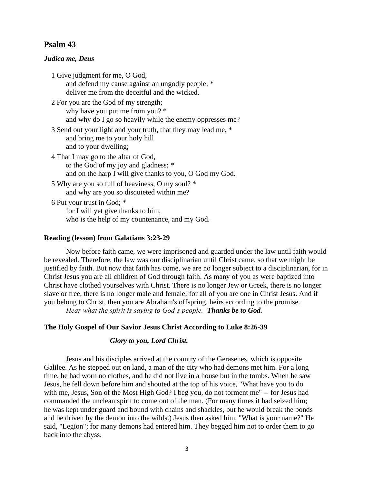# **Psalm 43**

## *Judica me, Deus*

1 Give judgment for me, O God, and defend my cause against an ungodly people; \* deliver me from the deceitful and the wicked. 2 For you are the God of my strength; why have you put me from you? \* and why do I go so heavily while the enemy oppresses me? 3 Send out your light and your truth, that they may lead me, \* and bring me to your holy hill and to your dwelling; 4 That I may go to the altar of God, to the God of my joy and gladness; \* and on the harp I will give thanks to you, O God my God. 5 Why are you so full of heaviness, O my soul? \* and why are you so disquieted within me? 6 Put your trust in God; \* for I will yet give thanks to him, who is the help of my countenance, and my God.

#### **Reading (lesson) from Galatians 3:23-29**

Now before faith came, we were imprisoned and guarded under the law until faith would be revealed. Therefore, the law was our disciplinarian until Christ came, so that we might be justified by faith. But now that faith has come, we are no longer subject to a disciplinarian, for in Christ Jesus you are all children of God through faith. As many of you as were baptized into Christ have clothed yourselves with Christ. There is no longer Jew or Greek, there is no longer slave or free, there is no longer male and female; for all of you are one in Christ Jesus. And if you belong to Christ, then you are Abraham's offspring, heirs according to the promise. *Hear what the spirit is saying to God's people. Thanks be to God.*

### **The Holy Gospel of Our Savior Jesus Christ According to Luke 8:26-39**

### *Glory to you, Lord Christ.*

Jesus and his disciples arrived at the country of the Gerasenes, which is opposite Galilee. As he stepped out on land, a man of the city who had demons met him. For a long time, he had worn no clothes, and he did not live in a house but in the tombs. When he saw Jesus, he fell down before him and shouted at the top of his voice, "What have you to do with me, Jesus, Son of the Most High God? I beg you, do not torment me" -- for Jesus had commanded the unclean spirit to come out of the man. (For many times it had seized him; he was kept under guard and bound with chains and shackles, but he would break the bonds and be driven by the demon into the wilds.) Jesus then asked him, "What is your name?" He said, "Legion"; for many demons had entered him. They begged him not to order them to go back into the abyss.